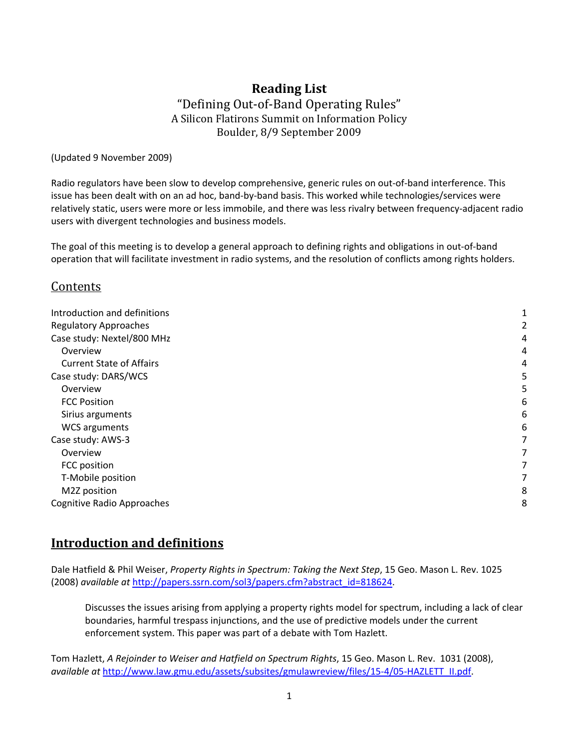## **Reading List** "Defining Out‐of‐Band Operating Rules" A Silicon Flatirons Summit on Information Policy Boulder, 8/9 September 2009

(Updated 9 November 2009)

Radio regulators have been slow to develop comprehensive, generic rules on out‐of‐band interference. This issue has been dealt with on an ad hoc, band‐by‐band basis. This worked while technologies/services were relatively static, users were more or less immobile, and there was less rivalry between frequency‐adjacent radio users with divergent technologies and business models.

The goal of this meeting is to develop a general approach to defining rights and obligations in out‐of‐band operation that will facilitate investment in radio systems, and the resolution of conflicts among rights holders.

#### Contents

| Introduction and definitions      |   |
|-----------------------------------|---|
| <b>Regulatory Approaches</b>      |   |
| Case study: Nextel/800 MHz        | 4 |
| Overview                          | 4 |
| <b>Current State of Affairs</b>   | 4 |
| Case study: DARS/WCS              | 5 |
| Overview                          | 5 |
| <b>FCC Position</b>               | 6 |
| Sirius arguments                  | 6 |
| <b>WCS arguments</b>              | 6 |
| Case study: AWS-3                 | 7 |
| Overview                          | 7 |
| FCC position                      | 7 |
| T-Mobile position                 | 7 |
| M2Z position                      | 8 |
| <b>Cognitive Radio Approaches</b> | 8 |

# **Introduction and definitions**

Dale Hatfield & Phil Weiser, *Property Rights in Spectrum: Taking the Next Step*, 15 Geo. Mason L. Rev. 1025 (2008) *available at* http://papers.ssrn.com/sol3/papers.cfm?abstract\_id=818624.

Discusses the issues arising from applying a property rights model for spectrum, including a lack of clear boundaries, harmful trespass injunctions, and the use of predictive models under the current enforcement system. This paper was part of a debate with Tom Hazlett.

Tom Hazlett, *A Rejoinder to Weiser and Hatfield on Spectrum Rights*, 15 Geo. Mason L. Rev. 1031 (2008), *available at* http://www.law.gmu.edu/assets/subsites/gmulawreview/files/15‐4/05‐HAZLETT\_II.pdf.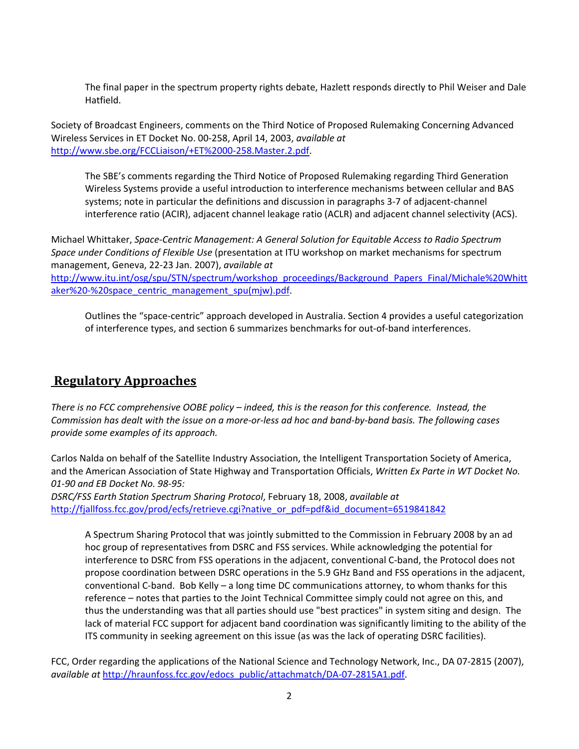The final paper in the spectrum property rights debate, Hazlett responds directly to Phil Weiser and Dale Hatfield.

Society of Broadcast Engineers, comments on the Third Notice of Proposed Rulemaking Concerning Advanced Wireless Services in ET Docket No. 00‐258, April 14, 2003, *available at* http://www.sbe.org/FCCLiaison/+ET%2000‐258.Master.2.pdf.

The SBE's comments regarding the Third Notice of Proposed Rulemaking regarding Third Generation Wireless Systems provide a useful introduction to interference mechanisms between cellular and BAS systems; note in particular the definitions and discussion in paragraphs 3‐7 of adjacent‐channel interference ratio (ACIR), adjacent channel leakage ratio (ACLR) and adjacent channel selectivity (ACS).

Michael Whittaker, *Space‐Centric Management: A General Solution for Equitable Access to Radio Spectrum Space under Conditions of Flexible Use* (presentation at ITU workshop on market mechanisms for spectrum management, Geneva, 22‐23 Jan. 2007), *available at* http://www.itu.int/osg/spu/STN/spectrum/workshop\_proceedings/Background\_Papers\_Final/Michale%20Whitt aker%20-%20space\_centric\_management\_spu(mjw).pdf.

Outlines the "space‐centric" approach developed in Australia. Section 4 provides a useful categorization of interference types, and section 6 summarizes benchmarks for out‐of‐band interferences.

# **Regulatory Approaches**

There is no FCC comprehensive OOBE policy - indeed, this is the reason for this conference. Instead, the Commission has dealt with the issue on a more-or-less ad hoc and band-by-band basis. The following cases *provide some examples of its approach.*

Carlos Nalda on behalf of the Satellite Industry Association, the Intelligent Transportation Society of America, and the American Association of State Highway and Transportation Officials, *Written Ex Parte in WT Docket No. 01‐90 and EB Docket No. 98‐95:*

*DSRC/FSS Earth Station Spectrum Sharing Protocol*, February 18, 2008, *available at* http://fjallfoss.fcc.gov/prod/ecfs/retrieve.cgi?native\_or\_pdf=pdf&id\_document=6519841842

A Spectrum Sharing Protocol that was jointly submitted to the Commission in February 2008 by an ad hoc group of representatives from DSRC and FSS services. While acknowledging the potential for interference to DSRC from FSS operations in the adjacent, conventional C‐band, the Protocol does not propose coordination between DSRC operations in the 5.9 GHz Band and FSS operations in the adjacent, conventional C‐band. Bob Kelly – a long time DC communications attorney, to whom thanks for this reference – notes that parties to the Joint Technical Committee simply could not agree on this, and thus the understanding was that all parties should use "best practices" in system siting and design. The lack of material FCC support for adjacent band coordination was significantly limiting to the ability of the ITS community in seeking agreement on this issue (as was the lack of operating DSRC facilities).

FCC, Order regarding the applications of the National Science and Technology Network, Inc., DA 07‐2815 (2007), *available at* http://hraunfoss.fcc.gov/edocs\_public/attachmatch/DA‐07‐2815A1.pdf.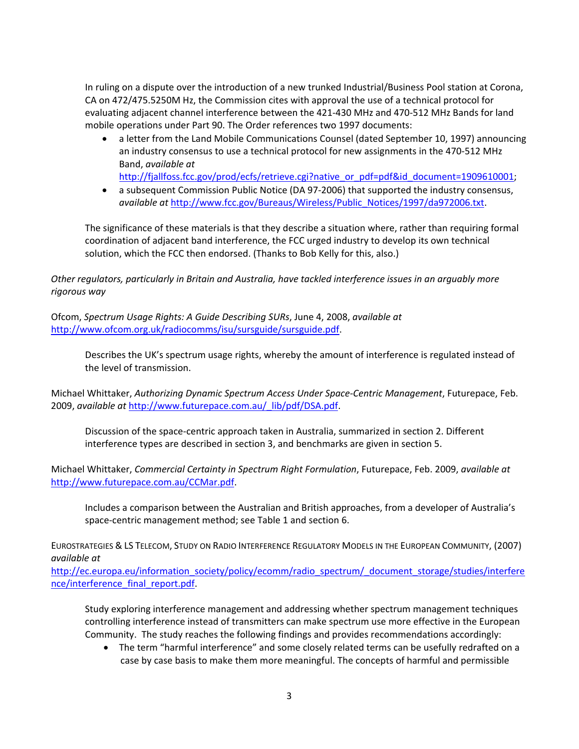In ruling on a dispute over the introduction of a new trunked Industrial/Business Pool station at Corona, CA on 472/475.5250M Hz, the Commission cites with approval the use of a technical protocol for evaluating adjacent channel interference between the 421‐430 MHz and 470‐512 MHz Bands for land mobile operations under Part 90. The Order references two 1997 documents:

• a letter from the Land Mobile Communications Counsel (dated September 10, 1997) announcing an industry consensus to use a technical protocol for new assignments in the 470‐512 MHz Band, *available at*

http://fjallfoss.fcc.gov/prod/ecfs/retrieve.cgi?native\_or\_pdf=pdf&id\_document=1909610001;

• a subsequent Commission Public Notice (DA 97-2006) that supported the industry consensus, *available at* http://www.fcc.gov/Bureaus/Wireless/Public\_Notices/1997/da972006.txt.

The significance of these materials is that they describe a situation where, rather than requiring formal coordination of adjacent band interference, the FCC urged industry to develop its own technical solution, which the FCC then endorsed. (Thanks to Bob Kelly for this, also.)

*Other regulators, particularly in Britain and Australia, have tackled interference issues in an arguably more rigorous way*

Ofcom, *Spectrum Usage Rights: A Guide Describing SURs*, June 4, 2008, *available at* http://www.ofcom.org.uk/radiocomms/isu/sursguide/sursguide.pdf.

Describes the UK's spectrum usage rights, whereby the amount of interference is regulated instead of the level of transmission.

Michael Whittaker, *Authorizing Dynamic Spectrum Access Under Space‐Centric Management*, Futurepace, Feb. 2009, *available at* http://www.futurepace.com.au/\_lib/pdf/DSA.pdf.

Discussion of the space‐centric approach taken in Australia, summarized in section 2. Different interference types are described in section 3, and benchmarks are given in section 5.

Michael Whittaker, *Commercial Certainty in Spectrum Right Formulation*, Futurepace, Feb. 2009, *available at* http://www.futurepace.com.au/CCMar.pdf.

Includes a comparison between the Australian and British approaches, from a developer of Australia's space-centric management method; see Table 1 and section 6.

EUROSTRATEGIES & LS TELECOM, STUDY ON RADIO INTERFERENCE REGULATORY MODELS IN THE EUROPEAN COMMUNITY, (2007) *available at*

http://ec.europa.eu/information\_society/policy/ecomm/radio\_spectrum/\_document\_storage/studies/interfere nce/interference\_final\_report.pdf.

Study exploring interference management and addressing whether spectrum management techniques controlling interference instead of transmitters can make spectrum use more effective in the European Community. The study reaches the following findings and provides recommendations accordingly:

• The term "harmful interference" and some closely related terms can be usefully redrafted on a case by case basis to make them more meaningful. The concepts of harmful and permissible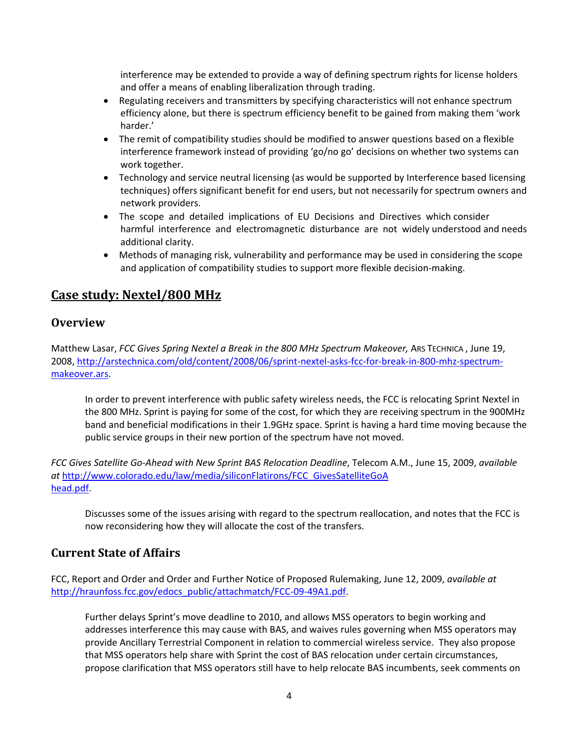interference may be extended to provide a way of defining spectrum rights for license holders and offer a means of enabling liberalization through trading.

- Regulating receivers and transmitters by specifying characteristics will not enhance spectrum efficiency alone, but there is spectrum efficiency benefit to be gained from making them 'work harder.'
- The remit of compatibility studies should be modified to answer questions based on a flexible interference framework instead of providing 'go/no go' decisions on whether two systems can work together.
- Technology and service neutral licensing (as would be supported by Interference based licensing techniques) offers significant benefit for end users, but not necessarily for spectrum owners and network providers.
- The scope and detailed implications of EU Decisions and Directives which consider harmful interference and electromagnetic disturbance are not widely understood and needs additional clarity.
- Methods of managing risk, vulnerability and performance may be used in considering the scope and application of compatibility studies to support more flexible decision-making.

# **Case study: Nextel/800 MHz**

#### **Overview**

Matthew Lasar, *FCC Gives Spring Nextel a Break in the 800 MHz Spectrum Makeover,* ARS TECHNICA , June 19, 2008, http://arstechnica.com/old/content/2008/06/sprint‐nextel‐asks‐fcc‐for‐break‐in‐800‐mhz‐spectrum‐ makeover.ars.

In order to prevent interference with public safety wireless needs, the FCC is relocating Sprint Nextel in the 800 MHz. Sprint is paying for some of the cost, for which they are receiving spectrum in the 900MHz band and beneficial modifications in their 1.9GHz space. Sprint is having a hard time moving because the public service groups in their new portion of the spectrum have not moved.

*FCC Gives Satellite Go‐Ahead with New Sprint BAS Relocation Deadline*, Telecom A.M., June 15, 2009, *available at* http://www.colorado.edu/law/media/siliconFlatirons/FCC\_GivesSatelliteGoA head.pdf.

Discusses some of the issues arising with regard to the spectrum reallocation, and notes that the FCC is now reconsidering how they will allocate the cost of the transfers.

## **Current State of Affairs**

FCC, Report and Order and Order and Further Notice of Proposed Rulemaking, June 12, 2009, *available at* http://hraunfoss.fcc.gov/edocs\_public/attachmatch/FCC-09-49A1.pdf.

Further delays Sprint's move deadline to 2010, and allows MSS operators to begin working and addresses interference this may cause with BAS, and waives rules governing when MSS operators may provide Ancillary Terrestrial Component in relation to commercial wireless service. They also propose that MSS operators help share with Sprint the cost of BAS relocation under certain circumstances, propose clarification that MSS operators still have to help relocate BAS incumbents, seek comments on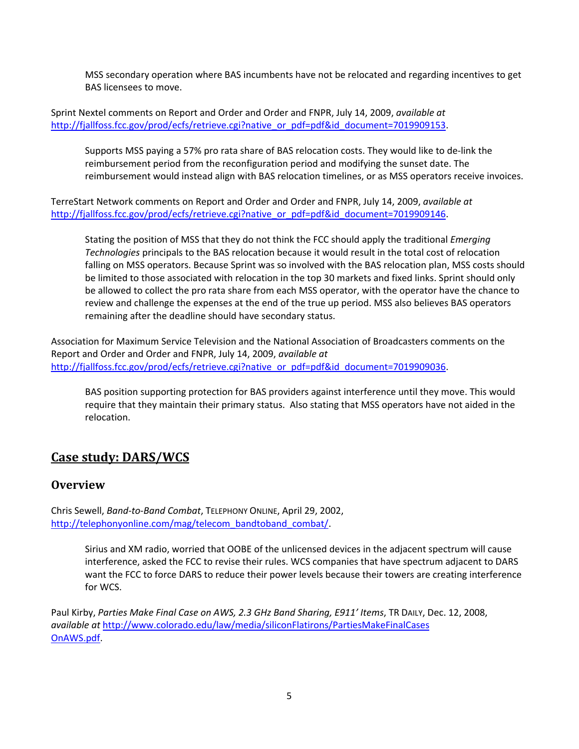MSS secondary operation where BAS incumbents have not be relocated and regarding incentives to get BAS licensees to move.

Sprint Nextel comments on Report and Order and Order and FNPR, July 14, 2009, *available at* http://fjallfoss.fcc.gov/prod/ecfs/retrieve.cgi?native\_or\_pdf=pdf&id\_document=7019909153.

Supports MSS paying a 57% pro rata share of BAS relocation costs. They would like to de‐link the reimbursement period from the reconfiguration period and modifying the sunset date. The reimbursement would instead align with BAS relocation timelines, or as MSS operators receive invoices.

TerreStart Network comments on Report and Order and Order and FNPR, July 14, 2009, *available at* http://fjallfoss.fcc.gov/prod/ecfs/retrieve.cgi?native\_or\_pdf=pdf&id\_document=7019909146.

Stating the position of MSS that they do not think the FCC should apply the traditional *Emerging Technologies* principals to the BAS relocation because it would result in the total cost of relocation falling on MSS operators. Because Sprint was so involved with the BAS relocation plan, MSS costs should be limited to those associated with relocation in the top 30 markets and fixed links. Sprint should only be allowed to collect the pro rata share from each MSS operator, with the operator have the chance to review and challenge the expenses at the end of the true up period. MSS also believes BAS operators remaining after the deadline should have secondary status.

Association for Maximum Service Television and the National Association of Broadcasters comments on the Report and Order and Order and FNPR, July 14, 2009, *available at* http://fjallfoss.fcc.gov/prod/ecfs/retrieve.cgi?native\_or\_pdf=pdf&id\_document=7019909036.

BAS position supporting protection for BAS providers against interference until they move. This would require that they maintain their primary status. Also stating that MSS operators have not aided in the relocation.

# **Case study: DARS/WCS**

#### **Overview**

Chris Sewell, *Band‐to‐Band Combat*, TELEPHONY ONLINE, April 29, 2002, http://telephonyonline.com/mag/telecom\_bandtoband\_combat/.

> Sirius and XM radio, worried that OOBE of the unlicensed devices in the adjacent spectrum will cause interference, asked the FCC to revise their rules. WCS companies that have spectrum adjacent to DARS want the FCC to force DARS to reduce their power levels because their towers are creating interference for WCS.

Paul Kirby, *Parties Make Final Case on AWS, 2.3 GHz Band Sharing, E911' Items*, TR DAILY, Dec. 12, 2008, *available at* http://www.colorado.edu/law/media/siliconFlatirons/PartiesMakeFinalCases OnAWS.pdf.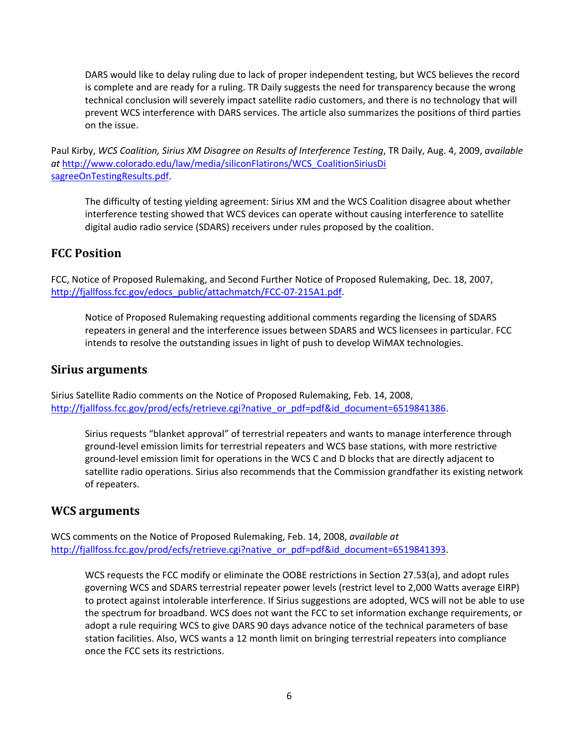DARS would like to delay ruling due to lack of proper independent testing, but WCS believes the record is complete and are ready for a ruling. TR Daily suggests the need for transparency because the wrong technical conclusion will severely impact satellite radio customers, and there is no technology that will prevent WCS interference with DARS services. The article also summarizes the positions of third parties on the issue.

Paul Kirby, *WCS Coalition, Sirius XM Disagree on Results of Interference Testing*, TR Daily, Aug. 4, 2009, *available at* http://www.colorado.edu/law/media/siliconFlatirons/WCS\_CoalitionSiriusDi sagreeOnTestingResults.pdf.

The difficulty of testing yielding agreement: Sirius XM and the WCS Coalition disagree about whether interference testing showed that WCS devices can operate without causing interference to satellite digital audio radio service (SDARS) receivers under rules proposed by the coalition.

#### **FCC Position**

FCC, Notice of Proposed Rulemaking, and Second Further Notice of Proposed Rulemaking, Dec. 18, 2007, http://fjallfoss.fcc.gov/edocs\_public/attachmatch/FCC-07-215A1.pdf.

Notice of Proposed Rulemaking requesting additional comments regarding the licensing of SDARS repeaters in general and the interference issues between SDARS and WCS licensees in particular. FCC intends to resolve the outstanding issues in light of push to develop WiMAX technologies.

#### **Sirius arguments**

Sirius Satellite Radio comments on the Notice of Proposed Rulemaking, Feb. 14, 2008, http://fjallfoss.fcc.gov/prod/ecfs/retrieve.cgi?native\_or\_pdf=pdf&id\_document=6519841386.

Sirius requests "blanket approval" of terrestrial repeaters and wants to manage interference through ground‐level emission limits for terrestrial repeaters and WCS base stations, with more restrictive ground‐level emission limit for operations in the WCS C and D blocks that are directly adjacent to satellite radio operations. Sirius also recommends that the Commission grandfather its existing network of repeaters.

## **WCS arguments**

WCS comments on the Notice of Proposed Rulemaking, Feb. 14, 2008, *available at* http://fjallfoss.fcc.gov/prod/ecfs/retrieve.cgi?native\_or\_pdf=pdf&id\_document=6519841393.

WCS requests the FCC modify or eliminate the OOBE restrictions in Section 27.53(a), and adopt rules governing WCS and SDARS terrestrial repeater power levels (restrict level to 2,000 Watts average EIRP) to protect against intolerable interference. If Sirius suggestions are adopted, WCS will not be able to use the spectrum for broadband. WCS does not want the FCC to set information exchange requirements, or adopt a rule requiring WCS to give DARS 90 days advance notice of the technical parameters of base station facilities. Also, WCS wants a 12 month limit on bringing terrestrial repeaters into compliance once the FCC sets its restrictions.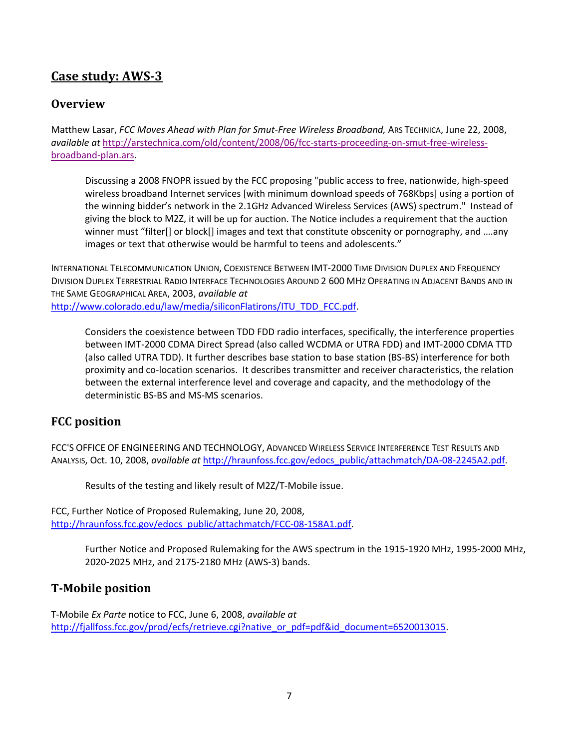# **Case study: AWS3**

## **Overview**

Matthew Lasar, *FCC Moves Ahead with Plan for Smut‐Free Wireless Broadband,* ARS TECHNICA, June 22, 2008, *available at* http://arstechnica.com/old/content/2008/06/fcc‐starts‐proceeding‐on‐smut‐free‐wireless‐ broadband‐plan.ars.

Discussing a 2008 FNOPR issued by the FCC proposing "public access to free, nationwide, high‐speed wireless broadband Internet services [with minimum download speeds of 768Kbps] using a portion of the winning bidder's network in the 2.1GHz Advanced Wireless Services (AWS) spectrum." Instead of giving the block to M2Z, it will be up for auction. The Notice includes a requirement that the auction winner must "filter[] or block[] images and text that constitute obscenity or pornography, and ….any images or text that otherwise would be harmful to teens and adolescents."

INTERNATIONAL TELECOMMUNICATION UNION, COEXISTENCE BETWEEN IMT‐2000 TIME DIVISION DUPLEX AND FREQUENCY DIVISION DUPLEX TERRESTRIAL RADIO INTERFACE TECHNOLOGIES AROUND 2 600 MHZ OPERATING IN ADJACENT BANDS AND IN THE SAME GEOGRAPHICAL AREA, 2003, *available at*

http://www.colorado.edu/law/media/siliconFlatirons/ITU\_TDD\_FCC.pdf.

Considers the coexistence between TDD FDD radio interfaces, specifically, the interference properties between IMT‐2000 CDMA Direct Spread (also called WCDMA or UTRA FDD) and IMT‐2000 CDMA TTD (also called UTRA TDD). It further describes base station to base station (BS‐BS) interference for both proximity and co‐location scenarios. It describes transmitter and receiver characteristics, the relation between the external interference level and coverage and capacity, and the methodology of the deterministic BS‐BS and MS‐MS scenarios.

# **FCC position**

FCC'S OFFICE OF ENGINEERING AND TECHNOLOGY, ADVANCED WIRELESS SERVICE INTERFERENCE TEST RESULTS AND ANALYSIS, Oct. 10, 2008, *available at* http://hraunfoss.fcc.gov/edocs\_public/attachmatch/DA‐08‐2245A2.pdf.

Results of the testing and likely result of M2Z/T‐Mobile issue.

FCC, Further Notice of Proposed Rulemaking, June 20, 2008, http://hraunfoss.fcc.gov/edocs\_public/attachmatch/FCC-08-158A1.pdf.

> Further Notice and Proposed Rulemaking for the AWS spectrum in the 1915‐1920 MHz, 1995‐2000 MHz, 2020‐2025 MHz, and 2175‐2180 MHz (AWS‐3) bands.

## **TMobile position**

T‐Mobile *Ex Parte* notice to FCC, June 6, 2008, *available at* http://fjallfoss.fcc.gov/prod/ecfs/retrieve.cgi?native\_or\_pdf=pdf&id\_document=6520013015.